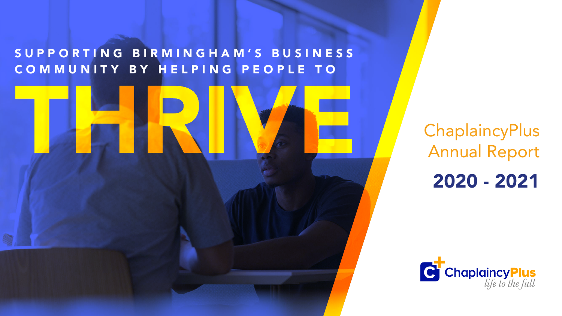# ChaplaincyPlus Annual Report 2020 - 2021





### S U P P O R T I N G B I R M I N G H A M ' S B U S I N E S S C O M M U N I T Y B Y H E L P I N G P E O P L E T O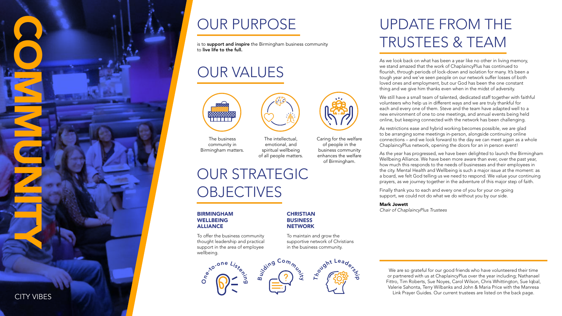### UPDATE FROM THE TRUSTEES & TEAM

As we look back on what has been a year like no other in living memory, we stand amazed that the work of ChaplaincyPlus has continued to flourish, through periods of lock-down and isolation for many. It's been a tough year and we've seen people on our network suffer losses of both loved ones and employment, but our God has been the one constant thing and we give him thanks even when in the midst of adversity.

We still have a small team of talented, dedicated staff together with faithful volunteers who help us in different ways and we are truly thankful for each and every one of them. Steve and the team have adapted well to a new environment of one to one meetings, and annual events being held online, but keeping connected with the network has been challenging.

As restrictions ease and hybrid working becomes possible, we are glad to be arranging some meetings in-person, alongside continuing online connections – and we look forward to the day we can meet again as a whole ChaplaincyPlus network, opening the doors for an in person event!

is to **support and inspire** the Birmingham business community to live life to the full.

### OUR STRATEGIC **OBJECTIVES**

As the year has progressed, we have been delighted to launch the Birmingham Wellbeing Alliance. We have been more aware than ever, over the past year, how much this responds to the needs of businesses and their employees in the city. Mental Health and Wellbeing is such a major issue at the moment: as a board, we felt God telling us we need to respond. We value your continuing prayers, as we journey together in the adventure of this major step of faith.

Finally thank you to each and every one of you for your on-going support, we could not do what we do without you by our side.

Mark Jowett Chair of ChaplaincyPlus Trustees



We are so grateful for our good friends who have volunteered their time or partnered with us at ChaplaincyPlus over the year including; Nathanael Fittro, Tim Roberts, Sue Noyes, Carol Wilson, Chris Whittington, Sue Iqbal, Valerie Sahonta, Terry Wilbanks and John & Maria Price with the Manresa Link Prayer Guides. Our current trustees are listed on the back page.





### OUR PURPOSE









#### BIRMINGHAM WELLBEING ALLIANCE

To offer the business community thought leadership and practical support in the area of employee wellbeing.



To maintain and grow the supportive network of Christians in the business community.

### OUR VALUES



The business community in Birmingham matters.

The intellectual, emotional, and spiritual wellbeing of all people matters. Caring for the welfare of people in the business community enhances the welfare of Birmingham.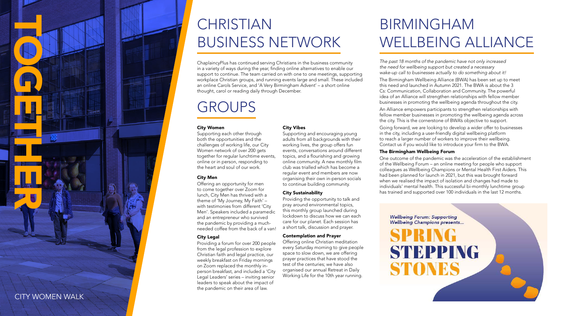

# CHRISTIAN BUSINESS NETWORK

ChaplaincyPlus has continued serving Christians in the business community in a variety of ways during the year, finding online alternatives to enable our support to continue. The team carried on with one to one meetings, supporting workplace Christian groups, and running events large and small. These included an online Carols Service, and 'A Very Birmingham Advent' – a short online thought, carol or reading daily through December.

### GROUPS

## BIRMINGHAM WELLBEING ALLIANCE

The past 18 months of the pandemic have not only increased the need for wellbeing support but created a necessary wake-up call to businesses actually to do something about it!

The Birmingham Wellbeing Alliance (BWA) has been set up to meet this need and launched in Autumn 2021. The BWA is about the 3 Cs: Communication, Collaboration and Community. The powerful idea of an Alliance will strengthen relationships with fellow member businesses in promoting the wellbeing agenda throughout the city.

An Alliance empowers participants to strengthen relationships with fellow member businesses in promoting the wellbeing agenda across the city. This is the cornerstone of BWA's objective to support.

Going forward, we are looking to develop a wider offer to businesses in the city, including a user-friendly digital wellbeing platform to reach a larger number of workers to improve their wellbeing. Contact us if you would like to introduce your firm to the BWA.

#### The Birmingham Wellbeing Forum

One outcome of the pandemic was the acceleration of the establishment of the Wellbeing Forum – an online meeting for people who support colleagues as Wellbeing Champions or Mental Health First Aiders. This had been planned for launch in 2021, but this was brought forward when we realised the impact of isolation and changes had made to individuals' mental health. This successful bi-monthly lunchtime group has trained and supported over 100 individuals in the last 12 months.

**Wellbeing Forum: Supporting Wellbeing Champions presents...** 

STONES

STEPPING





#### City Women

Supporting each other through both the opportunities and the challenges of working life, our City Women network of over 200 gets together for regular lunchtime events, online or in person, responding to the heart and soul of our work.

#### City Men

Offering an opportunity for men to come together over Zoom for lunch, City Men has thrived with a theme of 'My Journey, My Faith' – with testimonies from different 'City Men'. Speakers included a paramedic and an entrepreneur who survived the pandemic by providing a muchneeded coffee from the back of a van!

#### City Legal

Providing a forum for over 200 people from the legal profession to explore Christian faith and legal practice, our weekly breakfast on Friday mornings on Zoom replaced the monthly inperson breakfast, and included a 'City Legal Leaders' series – inviting senior leaders to speak about the impact of the pandemic on their area of law.

#### City Vibes

Supporting and encouraging young adults from all backgrounds with their working lives, the group offers fun events, conversations around different topics, and a flourishing and growing online community. A new monthly film club was trialled which has become a regular event and members are now organising their own in-person socials to continue building community.

#### City Sustainability

Providing the opportunity to talk and pray around environmental topics, this monthly group launched during lockdown to discuss how we can each care for our planet. Each session has a short talk, discussion and prayer.

#### Contemplation and Prayer

Offering online Christian meditation every Saturday morning to give people space to slow down, we are offering prayer practices that have stood the test of the centuries; we have also organised our annual Retreat in Daily Working Life for the 10th year running.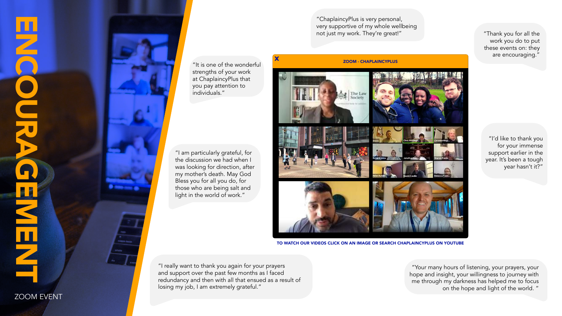"ChaplaincyPlus is very personal, very supportive of my whole wellbeing not just my work. They're great!"

"I really want to thank you again for your prayers and support over the past few months as I faced redundancy and then with all that ensued as a result of losing my job, I am extremely grateful."

"I am particularly grateful, for the discussion we had when I was looking for direction, after my mother's death. May God Bless you for all you do, for those who are being salt and light in the world of work."

> "Your many hours of listening, your prayers, your hope and insight, your willingness to journey with me through my darkness has helped me to focus on the hope and light of the world. "

"I'd like to thank you for your immense support earlier in the year. It's been a tough year hasn't it?"







"Thank you for all the work you do to put these events on: they are encouraging."

"It is one of the wonderful strengths of your work at ChaplaincyPlus that you pay attention to individuals."

#### ZOOM - CHAPLAINCYPLUS



TO WATCH OUR VIDEOS CLICK ON AN IMAGE OR SEARCH [CHAPLAINCYPLUS ON YOUTUBE](https://www.youtube.com/channel/UCH5T-7Il5Oe0Gh3cHIPyxiA)

ZOOM EVENT

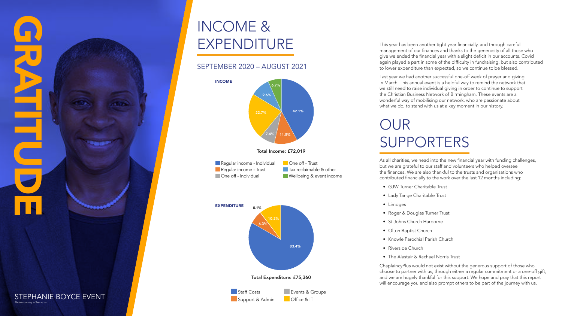This year has been another tight year financially, and through careful management of our finances and thanks to the generosity of all those who give we ended the financial year with a slight deficit in our accounts. Covid again played a part in some of the difficulty in fundraising, but also contributed to lower expenditure than expected, so we continue to be blessed.

Last year we had another successful one-off week of prayer and giving in March. This annual event is a helpful way to remind the network that we still need to raise individual giving in order to continue to support the Christian Business Network of Birmingham. These events are a wonderful way of mobilising our network, who are passionate about what we do, to stand with us at a key moment in our history.

### OUR SUPPORTERS

As all charities, we head into the new financial year with funding challenges, but we are grateful to our staff and volunteers who helped oversee the finances. We are also thankful to the trusts and organisations who contributed financially to the work over the last 12 months including:

- GJW Turner Charitable Trust
- Lady Tange Charitable Trust
- Limoges
- Roger & Douglas Turner Trust
- St Johns Church Harborne
- Olton Baptist Church
- Knowle Parochial Parish Church
- Riverside Church
- The Alastair & Rachael Norris Trust

ChaplaincyPlus would not exist without the generous support of those who choose to partner with us, through either a regular commitment or a one-off gift, and we are hugely thankful for this support. We hope and pray that this report will encourage you and also prompt others to be part of the journey with us.



## INCOME & EXPENDITURE

Total Income: £72,019

**One off - Trust Tax reclaimable & other Wellbeing & event income** 





### STEPHANIE BOYCE EVENT



Total Expenditure: £75,360 83.4% 6.3% 10.2% 0.1% EXPENDITURE

### SEPTEMBER 2020 – AUGUST 2021



Regular income - Individual Regular income - Trust **One off - Individual**